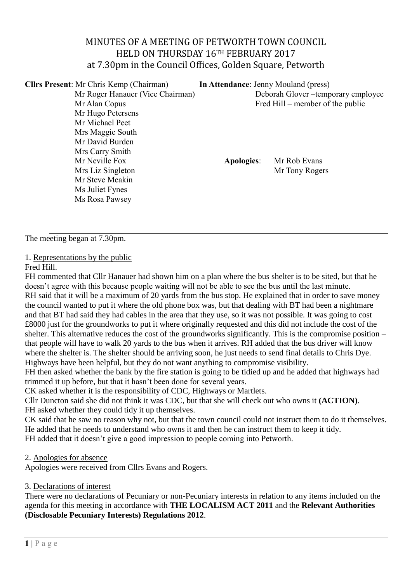## MINUTES OF A MEETING OF PETWORTH TOWN COUNCIL HELD ON THURSDAY 16TH FEBRUARY 2017 at 7.30pm in the Council Offices, Golden Square, Petworth

| <b>Clirs Present:</b> Mr Chris Kemp (Chairman) | In Attendance: Jenny Mouland (press)                                  |                |  |  |
|------------------------------------------------|-----------------------------------------------------------------------|----------------|--|--|
| Mr Roger Hanauer (Vice Chairman)               | Deborah Glover-temporary employee<br>Fred Hill – member of the public |                |  |  |
| Mr Alan Copus                                  |                                                                       |                |  |  |
| Mr Hugo Petersens                              |                                                                       |                |  |  |
| Mr Michael Peet                                |                                                                       |                |  |  |
| Mrs Maggie South                               |                                                                       |                |  |  |
| Mr David Burden                                |                                                                       |                |  |  |
| Mrs Carry Smith                                |                                                                       |                |  |  |
| Mr Neville Fox                                 | <b>Apologies:</b>                                                     | Mr Rob Evans   |  |  |
| Mrs Liz Singleton                              |                                                                       | Mr Tony Rogers |  |  |
| Mr Steve Meakin                                |                                                                       |                |  |  |
| Ms Juliet Fynes                                |                                                                       |                |  |  |
| Ms Rosa Pawsey                                 |                                                                       |                |  |  |
|                                                |                                                                       |                |  |  |

The meeting began at 7.30pm.

1. Representations by the public

### Fred Hill.

FH commented that Cllr Hanauer had shown him on a plan where the bus shelter is to be sited, but that he doesn't agree with this because people waiting will not be able to see the bus until the last minute. RH said that it will be a maximum of 20 yards from the bus stop. He explained that in order to save money the council wanted to put it where the old phone box was, but that dealing with BT had been a nightmare and that BT had said they had cables in the area that they use, so it was not possible. It was going to cost £8000 just for the groundworks to put it where originally requested and this did not include the cost of the shelter. This alternative reduces the cost of the groundworks significantly. This is the compromise position – that people will have to walk 20 yards to the bus when it arrives. RH added that the bus driver will know where the shelter is. The shelter should be arriving soon, he just needs to send final details to Chris Dye. Highways have been helpful, but they do not want anything to compromise visibility.

FH then asked whether the bank by the fire station is going to be tidied up and he added that highways had trimmed it up before, but that it hasn't been done for several years.

CK asked whether it is the responsibility of CDC, Highways or Martlets.

Cllr Duncton said she did not think it was CDC, but that she will check out who owns it **(ACTION)**. FH asked whether they could tidy it up themselves.

CK said that he saw no reason why not, but that the town council could not instruct them to do it themselves. He added that he needs to understand who owns it and then he can instruct them to keep it tidy.

FH added that it doesn't give a good impression to people coming into Petworth.

#### 2. Apologies for absence

Apologies were received from Cllrs Evans and Rogers.

### 3. Declarations of interest

There were no declarations of Pecuniary or non-Pecuniary interests in relation to any items included on the agenda for this meeting in accordance with **THE LOCALISM ACT 2011** and the **Relevant Authorities (Disclosable Pecuniary Interests) Regulations 2012**.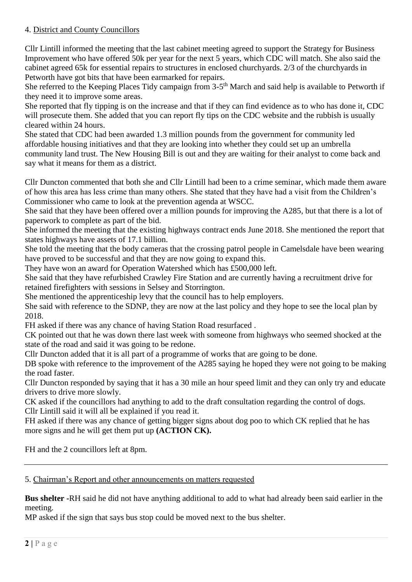### 4. District and County Councillors

Cllr Lintill informed the meeting that the last cabinet meeting agreed to support the Strategy for Business Improvement who have offered 50k per year for the next 5 years, which CDC will match. She also said the cabinet agreed 65k for essential repairs to structures in enclosed churchyards. 2/3 of the churchyards in Petworth have got bits that have been earmarked for repairs.

She referred to the Keeping Places Tidy campaign from 3-5<sup>th</sup> March and said help is available to Petworth if they need it to improve some areas.

She reported that fly tipping is on the increase and that if they can find evidence as to who has done it, CDC will prosecute them. She added that you can report fly tips on the CDC website and the rubbish is usually cleared within 24 hours.

She stated that CDC had been awarded 1.3 million pounds from the government for community led affordable housing initiatives and that they are looking into whether they could set up an umbrella community land trust. The New Housing Bill is out and they are waiting for their analyst to come back and say what it means for them as a district.

Cllr Duncton commented that both she and Cllr Lintill had been to a crime seminar, which made them aware of how this area has less crime than many others. She stated that they have had a visit from the Children's Commissioner who came to look at the prevention agenda at WSCC.

She said that they have been offered over a million pounds for improving the A285, but that there is a lot of paperwork to complete as part of the bid.

She informed the meeting that the existing highways contract ends June 2018. She mentioned the report that states highways have assets of 17.1 billion.

She told the meeting that the body cameras that the crossing patrol people in Camelsdale have been wearing have proved to be successful and that they are now going to expand this.

They have won an award for Operation Watershed which has £500,000 left.

She said that they have refurbished Crawley Fire Station and are currently having a recruitment drive for retained firefighters with sessions in Selsey and Storrington.

She mentioned the apprenticeship levy that the council has to help employers.

She said with reference to the SDNP, they are now at the last policy and they hope to see the local plan by 2018.

FH asked if there was any chance of having Station Road resurfaced .

CK pointed out that he was down there last week with someone from highways who seemed shocked at the state of the road and said it was going to be redone.

Cllr Duncton added that it is all part of a programme of works that are going to be done.

DB spoke with reference to the improvement of the A285 saying he hoped they were not going to be making the road faster.

Cllr Duncton responded by saying that it has a 30 mile an hour speed limit and they can only try and educate drivers to drive more slowly.

CK asked if the councillors had anything to add to the draft consultation regarding the control of dogs. Cllr Lintill said it will all be explained if you read it.

FH asked if there was any chance of getting bigger signs about dog poo to which CK replied that he has more signs and he will get them put up **(ACTION CK).**

FH and the 2 councillors left at 8pm.

#### 5. Chairman's Report and other announcements on matters requested

**Bus shelter -**RH said he did not have anything additional to add to what had already been said earlier in the meeting.

MP asked if the sign that says bus stop could be moved next to the bus shelter.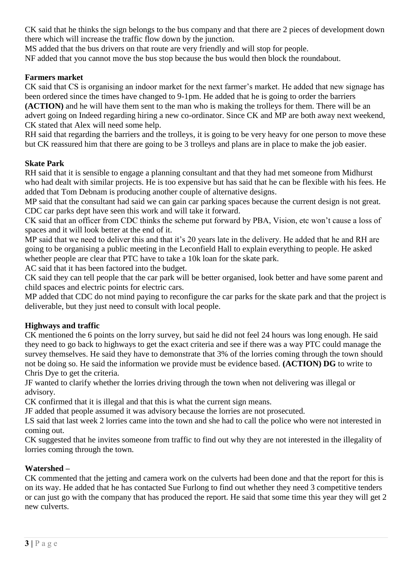CK said that he thinks the sign belongs to the bus company and that there are 2 pieces of development down there which will increase the traffic flow down by the junction.

MS added that the bus drivers on that route are very friendly and will stop for people.

NF added that you cannot move the bus stop because the bus would then block the roundabout.

### **Farmers market**

CK said that CS is organising an indoor market for the next farmer's market. He added that new signage has been ordered since the times have changed to 9-1pm. He added that he is going to order the barriers **(ACTION)** and he will have them sent to the man who is making the trolleys for them. There will be an advert going on Indeed regarding hiring a new co-ordinator. Since CK and MP are both away next weekend, CK stated that Alex will need some help.

RH said that regarding the barriers and the trolleys, it is going to be very heavy for one person to move these but CK reassured him that there are going to be 3 trolleys and plans are in place to make the job easier.

#### **Skate Park**

RH said that it is sensible to engage a planning consultant and that they had met someone from Midhurst who had dealt with similar projects. He is too expensive but has said that he can be flexible with his fees. He added that Tom Debnam is producing another couple of alternative designs.

MP said that the consultant had said we can gain car parking spaces because the current design is not great. CDC car parks dept have seen this work and will take it forward.

CK said that an officer from CDC thinks the scheme put forward by PBA, Vision, etc won't cause a loss of spaces and it will look better at the end of it.

MP said that we need to deliver this and that it's 20 years late in the delivery. He added that he and RH are going to be organising a public meeting in the Leconfield Hall to explain everything to people. He asked whether people are clear that PTC have to take a 10k loan for the skate park.

AC said that it has been factored into the budget.

CK said they can tell people that the car park will be better organised, look better and have some parent and child spaces and electric points for electric cars.

MP added that CDC do not mind paying to reconfigure the car parks for the skate park and that the project is deliverable, but they just need to consult with local people.

#### **Highways and traffic**

CK mentioned the 6 points on the lorry survey, but said he did not feel 24 hours was long enough. He said they need to go back to highways to get the exact criteria and see if there was a way PTC could manage the survey themselves. He said they have to demonstrate that 3% of the lorries coming through the town should not be doing so. He said the information we provide must be evidence based. **(ACTION) DG** to write to Chris Dye to get the criteria.

JF wanted to clarify whether the lorries driving through the town when not delivering was illegal or advisory.

CK confirmed that it is illegal and that this is what the current sign means.

JF added that people assumed it was advisory because the lorries are not prosecuted.

LS said that last week 2 lorries came into the town and she had to call the police who were not interested in coming out.

CK suggested that he invites someone from traffic to find out why they are not interested in the illegality of lorries coming through the town.

#### **Watershed –**

CK commented that the jetting and camera work on the culverts had been done and that the report for this is on its way. He added that he has contacted Sue Furlong to find out whether they need 3 competitive tenders or can just go with the company that has produced the report. He said that some time this year they will get 2 new culverts.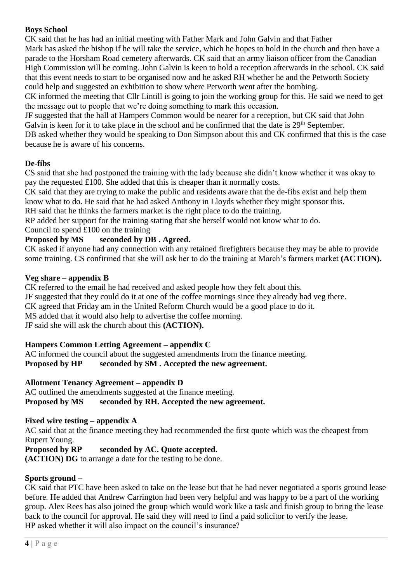### **Boys School**

CK said that he has had an initial meeting with Father Mark and John Galvin and that Father Mark has asked the bishop if he will take the service, which he hopes to hold in the church and then have a parade to the Horsham Road cemetery afterwards. CK said that an army liaison officer from the Canadian High Commission will be coming. John Galvin is keen to hold a reception afterwards in the school. CK said that this event needs to start to be organised now and he asked RH whether he and the Petworth Society could help and suggested an exhibition to show where Petworth went after the bombing.

CK informed the meeting that Cllr Lintill is going to join the working group for this. He said we need to get the message out to people that we're doing something to mark this occasion.

JF suggested that the hall at Hampers Common would be nearer for a reception, but CK said that John Galvin is keen for it to take place in the school and he confirmed that the date is 29<sup>th</sup> September.

DB asked whether they would be speaking to Don Simpson about this and CK confirmed that this is the case because he is aware of his concerns.

### **De-fibs**

CS said that she had postponed the training with the lady because she didn't know whether it was okay to pay the requested  $\pounds100$ . She added that this is cheaper than it normally costs.

CK said that they are trying to make the public and residents aware that the de-fibs exist and help them know what to do. He said that he had asked Anthony in Lloyds whether they might sponsor this.

RH said that he thinks the farmers market is the right place to do the training.

RP added her support for the training stating that she herself would not know what to do.

### Council to spend £100 on the training

## Proposed by MS seconded by DB . Agreed.

CK asked if anyone had any connection with any retained firefighters because they may be able to provide some training. CS confirmed that she will ask her to do the training at March's farmers market **(ACTION).**

### **Veg share – appendix B**

CK referred to the email he had received and asked people how they felt about this. JF suggested that they could do it at one of the coffee mornings since they already had veg there. CK agreed that Friday am in the United Reform Church would be a good place to do it. MS added that it would also help to advertise the coffee morning. JF said she will ask the church about this **(ACTION).**

### **Hampers Common Letting Agreement – appendix C**

AC informed the council about the suggested amendments from the finance meeting. **Proposed by HP seconded by SM . Accepted the new agreement.** 

#### **Allotment Tenancy Agreement – appendix D**

AC outlined the amendments suggested at the finance meeting. **Proposed by MS seconded by RH. Accepted the new agreement.** 

#### **Fixed wire testing – appendix A**

AC said that at the finance meeting they had recommended the first quote which was the cheapest from Rupert Young.

### **Proposed by RP seconded by AC. Quote accepted.**

**(ACTION) DG** to arrange a date for the testing to be done.

### **Sports ground –**

CK said that PTC have been asked to take on the lease but that he had never negotiated a sports ground lease before. He added that Andrew Carrington had been very helpful and was happy to be a part of the working group. Alex Rees has also joined the group which would work like a task and finish group to bring the lease back to the council for approval. He said they will need to find a paid solicitor to verify the lease. HP asked whether it will also impact on the council's insurance?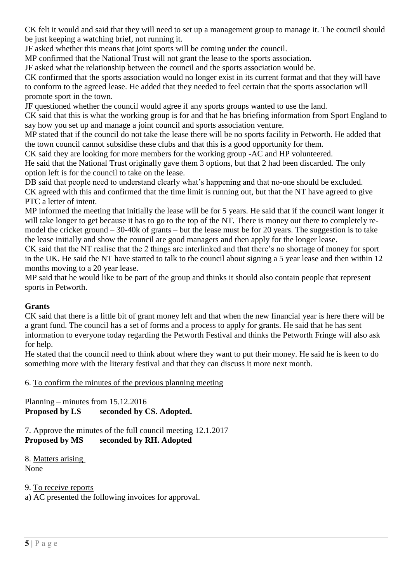CK felt it would and said that they will need to set up a management group to manage it. The council should be just keeping a watching brief, not running it.

JF asked whether this means that joint sports will be coming under the council.

MP confirmed that the National Trust will not grant the lease to the sports association.

JF asked what the relationship between the council and the sports association would be.

CK confirmed that the sports association would no longer exist in its current format and that they will have to conform to the agreed lease. He added that they needed to feel certain that the sports association will promote sport in the town.

JF questioned whether the council would agree if any sports groups wanted to use the land.

CK said that this is what the working group is for and that he has briefing information from Sport England to say how you set up and manage a joint council and sports association venture.

MP stated that if the council do not take the lease there will be no sports facility in Petworth. He added that the town council cannot subsidise these clubs and that this is a good opportunity for them.

CK said they are looking for more members for the working group -AC and HP volunteered.

He said that the National Trust originally gave them 3 options, but that 2 had been discarded. The only option left is for the council to take on the lease.

DB said that people need to understand clearly what's happening and that no-one should be excluded. CK agreed with this and confirmed that the time limit is running out, but that the NT have agreed to give PTC a letter of intent.

MP informed the meeting that initially the lease will be for 5 years. He said that if the council want longer it will take longer to get because it has to go to the top of the NT. There is money out there to completely remodel the cricket ground – 30-40k of grants – but the lease must be for 20 years. The suggestion is to take the lease initially and show the council are good managers and then apply for the longer lease.

CK said that the NT realise that the 2 things are interlinked and that there's no shortage of money for sport in the UK. He said the NT have started to talk to the council about signing a 5 year lease and then within 12 months moving to a 20 year lease.

MP said that he would like to be part of the group and thinks it should also contain people that represent sports in Petworth.

### **Grants**

CK said that there is a little bit of grant money left and that when the new financial year is here there will be a grant fund. The council has a set of forms and a process to apply for grants. He said that he has sent information to everyone today regarding the Petworth Festival and thinks the Petworth Fringe will also ask for help.

He stated that the council need to think about where they want to put their money. He said he is keen to do something more with the literary festival and that they can discuss it more next month.

6. To confirm the minutes of the previous planning meeting

Planning – minutes from 15.12.2016 **Proposed by LS seconded by CS. Adopted.** 

7. Approve the minutes of the full council meeting 12.1.2017 **Proposed by MS seconded by RH. Adopted**

8. Matters arising None

9. To receive reports

a) AC presented the following invoices for approval.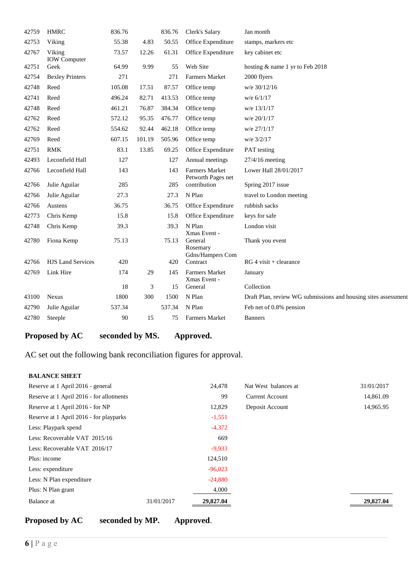| 42759 | <b>HMRC</b>                   | 836.76 |        | 836.76 | Clerk's Salary                              | Jan month                                                      |  |
|-------|-------------------------------|--------|--------|--------|---------------------------------------------|----------------------------------------------------------------|--|
| 42753 | Viking                        | 55.38  | 4.83   | 50.55  | Office Expenditure                          | stamps, markers etc                                            |  |
| 42767 | Viking<br><b>IOW</b> Computer | 73.57  | 12.26  | 61.31  | Office Expenditure                          | key cabinet etc                                                |  |
| 42751 | Geek                          | 64.99  | 9.99   | 55     | Web Site                                    | hosting & name 1 yr to Feb 2018                                |  |
| 42754 | <b>Bexley Printers</b>        | 271    |        | 271    | <b>Farmers Market</b>                       | 2000 flyers                                                    |  |
| 42748 | Reed                          | 105.08 | 17.51  | 87.57  | Office temp                                 | w/e 30/12/16                                                   |  |
| 42741 | Reed                          | 496.24 | 82.71  | 413.53 | Office temp                                 | w/e 6/1/17                                                     |  |
| 42748 | Reed                          | 461.21 | 76.87  | 384.34 | Office temp                                 | w/e 13/1/17                                                    |  |
| 42762 | Reed                          | 572.12 | 95.35  | 476.77 | Office temp                                 | w/e 20/1/17                                                    |  |
| 42762 | Reed                          | 554.62 | 92.44  | 462.18 | Office temp                                 | w/e 27/1/17                                                    |  |
| 42769 | Reed                          | 607.15 | 101.19 | 505.96 | Office temp                                 | w/e 3/2/17                                                     |  |
| 42751 | <b>RMK</b>                    | 83.1   | 13.85  | 69.25  | Office Expenditure                          | PAT testing                                                    |  |
| 42493 | Leconfield Hall               | 127    |        | 127    | Annual meetings                             | $27/4/16$ meeting                                              |  |
| 42766 | Leconfield Hall               | 143    |        | 143    | <b>Farmers Market</b><br>Petworth Pages net | Lower Hall 28/01/2017                                          |  |
| 42766 | Julie Aguilar                 | 285    |        | 285    | contribution                                | Spring 2017 issue                                              |  |
| 42766 | Julie Aguilar                 | 27.3   |        | 27.3   | N Plan                                      | travel to London meeting                                       |  |
| 42766 | Austens                       | 36.75  |        | 36.75  | Office Expenditure                          | rubbish sacks                                                  |  |
| 42773 | Chris Kemp                    | 15.8   |        | 15.8   | Office Expenditure                          | keys for safe                                                  |  |
| 42748 | Chris Kemp                    | 39.3   |        | 39.3   | N Plan<br>Xmas Event -                      | London visit                                                   |  |
| 42780 | Fiona Kemp                    | 75.13  |        | 75.13  | General<br>Rosemary<br>Gdns/Hampers Com     | Thank you event                                                |  |
| 42766 | <b>HJS Land Services</b>      | 420    |        | 420    | Contract                                    | $RG 4 \text{ visit} + \text{ clearance}$                       |  |
| 42769 | Link Hire                     | 174    | 29     | 145    | <b>Farmers Market</b><br>Xmas Event -       | January                                                        |  |
|       |                               | 18     | 3      | 15     | General                                     | Collection                                                     |  |
| 43100 | <b>Nexus</b>                  | 1800   | 300    | 1500   | N Plan                                      | Draft Plan, review WG submissions and housing sites assessment |  |
| 42790 | Julie Aguilar                 | 537.34 |        | 537.34 | N Plan                                      | Feb net of 0.8% pension                                        |  |
| 42780 | Steeple                       | 90     | 15     | 75     | Farmers Market                              | <b>Banners</b>                                                 |  |
|       |                               |        |        |        |                                             |                                                                |  |

### **Proposed by AC seconded by MS. Approved.**

AC set out the following bank reconciliation figures for approval.

#### **BALANCE SHEET**

| Reserve at 1 April 2016 - general        |            | 24,478    | Nat West balances at   | 31/01/2017 |
|------------------------------------------|------------|-----------|------------------------|------------|
| Reserve at 1 April 2016 - for allotments |            | 99        | <b>Current Account</b> | 14,861.09  |
| Reserve at 1 April 2016 - for NP         |            | 12,829    | Deposit Account        | 14,965.95  |
| Reserve at 1 April 2016 - for playparks  |            | $-1,551$  |                        |            |
| Less: Playpark spend                     |            | $-4,372$  |                        |            |
| Less: Recoverable VAT 2015/16            |            | 669       |                        |            |
| Less: Recoverable VAT 2016/17            |            | $-9,933$  |                        |            |
| Plus: income                             |            | 124,510   |                        |            |
| Less: expenditure                        |            | $-96,023$ |                        |            |
| Less: N Plan expenditure                 |            | $-24,880$ |                        |            |
| Plus: N Plan grant                       |            | 4,000     |                        |            |
| Balance at                               | 31/01/2017 | 29,827.04 |                        | 29,827.04  |

# **Proposed by AC seconded by MP. Approved**.